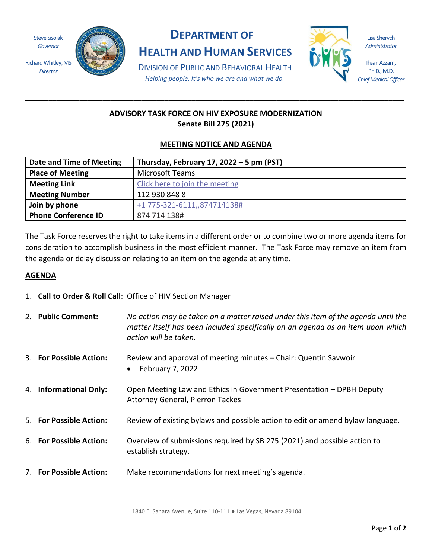Steve Sisolak *Governor*

Richard Whitley, MS *Director*



# **DEPARTMENT OF**

**HEALTH AND HUMAN SERVICES**

Lisa Sherych *Administrator*

Ihsan Azzam, Ph.D., M.D. *Chief Medical Officer*

DIVISION OF PUBLIC AND BEHAVIORAL HEALTH *Helping people. It's who we are and what we do.*

## **ADVISORY TASK FORCE ON HIV EXPOSURE MODERNIZATION Senate Bill 275 (2021)**

**\_\_\_\_\_\_\_\_\_\_\_\_\_\_\_\_\_\_\_\_\_\_\_\_\_\_\_\_\_\_\_\_\_\_\_\_\_\_\_\_\_\_\_\_\_\_\_\_\_\_\_\_\_\_\_\_\_\_\_\_\_\_\_\_\_\_\_\_\_\_\_\_\_\_\_\_\_\_\_\_\_\_\_\_\_\_\_\_\_\_\_\_\_\_\_\_\_\_**

## **MEETING NOTICE AND AGENDA**

| Date and Time of Meeting   | Thursday, February 17, 2022 - 5 pm (PST) |
|----------------------------|------------------------------------------|
| <b>Place of Meeting</b>    | <b>Microsoft Teams</b>                   |
| <b>Meeting Link</b>        | Click here to join the meeting           |
| <b>Meeting Number</b>      | 112 930 848 8                            |
| Join by phone              | +1 775-321-6111,,874714138#              |
| <b>Phone Conference ID</b> | 874 714 138#                             |

The Task Force reserves the right to take items in a different order or to combine two or more agenda items for consideration to accomplish business in the most efficient manner. The Task Force may remove an item from the agenda or delay discussion relating to an item on the agenda at any time.

#### **AGENDA**

1. **Call to Order & Roll Call**: Office of HIV Section Manager

| 2. Public Comment:      | No action may be taken on a matter raised under this item of the agenda until the<br>matter itself has been included specifically on an agenda as an item upon which<br>action will be taken. |
|-------------------------|-----------------------------------------------------------------------------------------------------------------------------------------------------------------------------------------------|
| 3. For Possible Action: | Review and approval of meeting minutes – Chair: Quentin Savwoir<br>February 7, 2022                                                                                                           |
| 4. Informational Only:  | Open Meeting Law and Ethics in Government Presentation - DPBH Deputy<br><b>Attorney General, Pierron Tackes</b>                                                                               |
| 5. For Possible Action: | Review of existing bylaws and possible action to edit or amend bylaw language.                                                                                                                |
| 6. For Possible Action: | Overview of submissions required by SB 275 (2021) and possible action to<br>establish strategy.                                                                                               |
| 7. For Possible Action: | Make recommendations for next meeting's agenda.                                                                                                                                               |